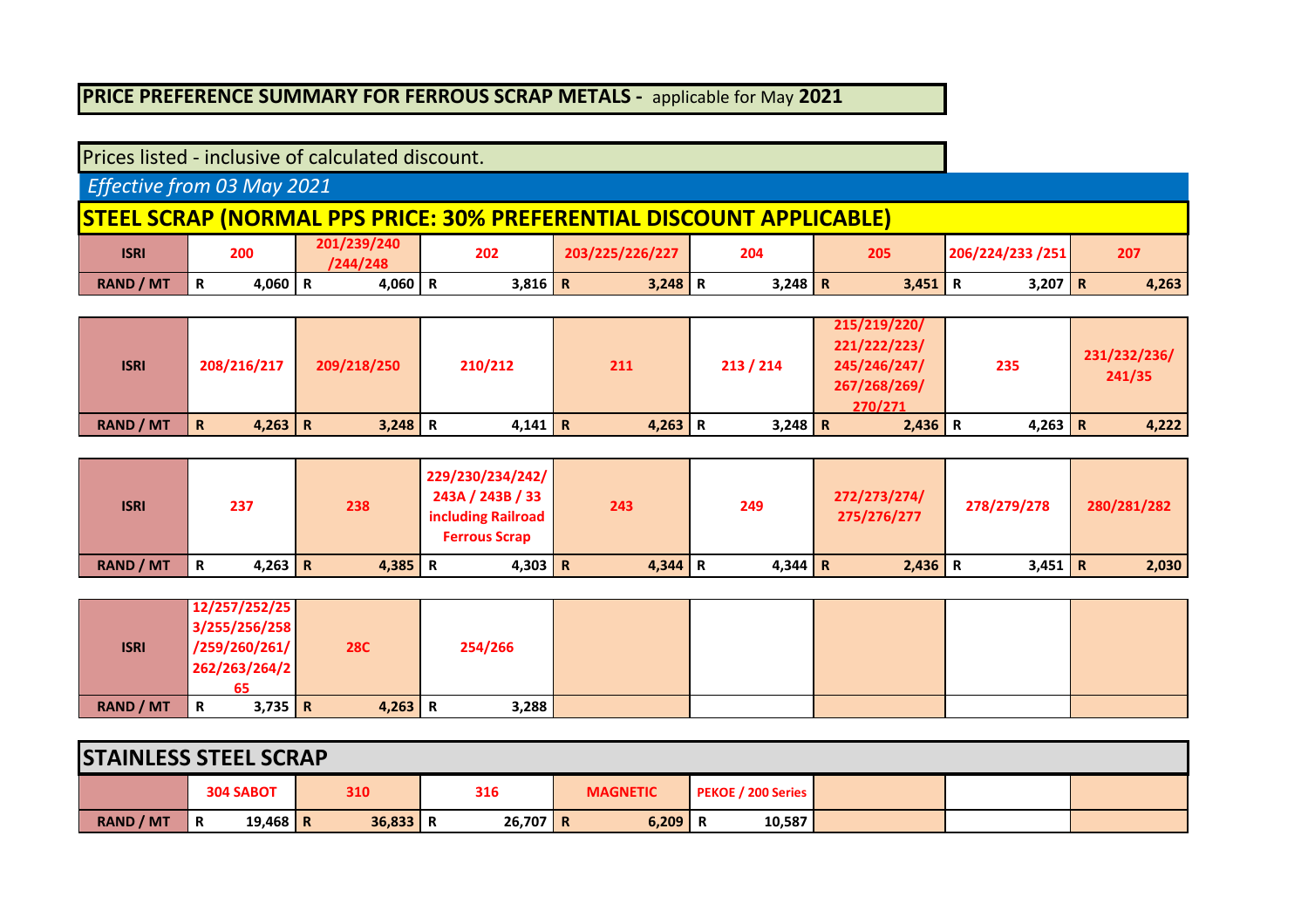## **PRICE PREFERENCE SUMMARY FOR FERROUS SCRAP METALS -** applicable for May **2021**

| Prices listed - inclusive of calculated discount. |   |           |                         |           |                                                                             |           |           |                  |       |
|---------------------------------------------------|---|-----------|-------------------------|-----------|-----------------------------------------------------------------------------|-----------|-----------|------------------|-------|
| Effective from 03 May 2021                        |   |           |                         |           |                                                                             |           |           |                  |       |
|                                                   |   |           |                         |           | <b>STEEL SCRAP (NORMAL PPS PRICE: 30% PREFERENTIAL DISCOUNT APPLICABLE)</b> |           |           |                  |       |
| <b>ISRI</b>                                       |   | 200       | 201/239/240<br>/244/248 | 202       | 203/225/226/227                                                             | 204       | 205       | 206/224/233 /251 | 207   |
| <b>RAND / MT</b>                                  | R | 4,060   R | 4,060   R               | $3,816$ R | $3,248$ R                                                                   | $3,248$ R | $3,451$ R | 3,207 R          | 4,263 |

| <b>ISRI</b>      | 208/216/217      | 209/218/250 | 210/212   | 211       | 213 / 214 | 215/219/220/<br>221/222/223/<br>245/246/247/<br>267/268/269/<br>270/271 | 235       | 231/232/236/<br>241/35 |
|------------------|------------------|-------------|-----------|-----------|-----------|-------------------------------------------------------------------------|-----------|------------------------|
| <b>RAND / MT</b> | $4,263$   R<br>R | $3,248$ R   | $4,141$ R | $4,263$ R | $3,248$ R | $2,436$ R                                                               | $4,263$ R | 4,222                  |

| <b>ISRI</b>      |   | 237     | 238       | 229/230/234/242/<br>243A / 243B / 33<br>including Railroad<br><b>Ferrous Scrap</b> | 243       | 249     | 272/273/274/<br>275/276/277 | 278/279/278 | 280/281/282 |
|------------------|---|---------|-----------|------------------------------------------------------------------------------------|-----------|---------|-----------------------------|-------------|-------------|
| <b>RAND / MT</b> | R | 4,263 R | $4,385$ R | 4,303   R                                                                          | $4,344$ R | 4,344 R | $2,436$ R                   | $3,451$ R   | 2,030       |

|                  | 12/257/252/25 |           |            |         |  |  |  |
|------------------|---------------|-----------|------------|---------|--|--|--|
|                  | 3/255/256/258 |           |            |         |  |  |  |
| <b>ISRI</b>      | /259/260/261/ |           | <b>28C</b> | 254/266 |  |  |  |
|                  | 262/263/264/2 |           |            |         |  |  |  |
|                  |               |           |            |         |  |  |  |
| <b>RAND / MT</b> | R             | $3,735$ R | $4,263$ R  | 3,288   |  |  |  |

| <b>STAINLESS STEEL SCRAP</b> |   |                  |            |            |                 |                           |  |  |
|------------------------------|---|------------------|------------|------------|-----------------|---------------------------|--|--|
|                              |   | <b>304 SABOT</b> | 310        | 316        | <b>MAGNETIC</b> | <b>PEKOE / 200 Series</b> |  |  |
| <b>RAND / MT</b>             | R | 19,468   R       | $36,833$ R | $26,707$ R | $6,209$ R       | 10,587                    |  |  |